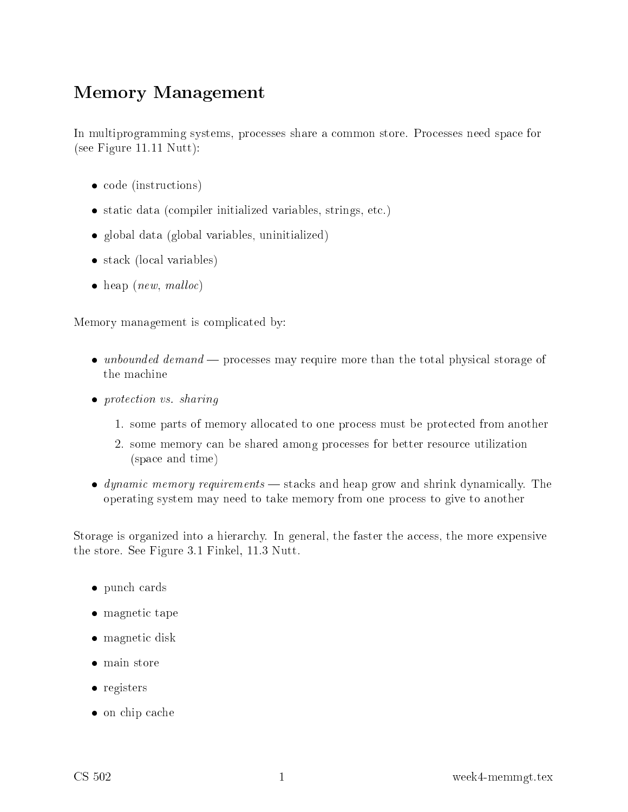# Memory Management

In multiprogramming systems, processes share a common store. Processes need space for (see Figure 11.11 Nutt):

- code (instructions)
- static data (compiler initialized variables, strings, etc.)
- global data (global variables, uninitialized)
- stack (local variables)
- $\bullet$  heap (new, malloc)

Memory management is complicated by:

- under al storage of the total production of the total three controls for the total physical physical physical physical physical physical physical physical physical physical physical physical physical physical physical phys the ma
hine
- protection vs. sharing
	- 1. some parts of memory allo
	ated to one pro
	ess must be prote
	ted from another
	- 2. some memory an be shared among pro
	esses for better resour
	e utilization (spa
	e and time)
- *dynamic memory requirements* stacks and heap grow and shrink dynamically. The operating system may need to take memory from one pro
ess to give to another

Storage is organized into a hierarchy. In general, the faster the access, the more expensive the store. See Figure 3.1 Finkel, 11.3 Nutt.

- punch cards
- magnetic tape
- magnetic disk
- main store
- registers
- on chip cache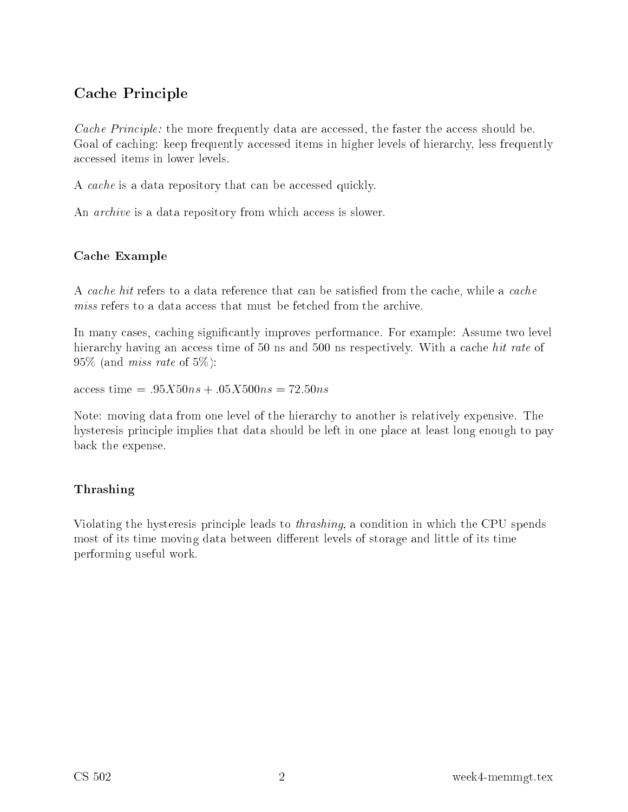## Cache Principle

Ca
he Prin
iple: the more frequently data are a

essed, the faster the a

ess should be. Goal of caching: keep frequently accessed items in higher levels of hierarchy, less frequently accessed items in lower levels.

A cache is a data repository that can be accessed quickly.

An *archive* is a data repository from which access is slower.

### n Example Canada part of

A cache hit refers to a data reference that can be satisfied from the cache, while a cache

In many cases, caching significantly improves performance. For example: Assume two level hierarchy having an access time of 50 ns and 500 ns respectively. With a cache *hit rate* of  $95\%$  (and *miss rate* of  $5\%$ ):

access time =  $.95X50ns + .05X500ns = 72.50ns$ 

Note: moving data from one level of the hierarchy to another is relatively expensive. The hysteresis principle implies that data should be left in one place at least long enough to pay back the expense.

#### Thrashing

Violating the hysteresis principle leads to *thrashing*, a condition in which the CPU spends most of its time moving data between different levels of storage and little of its time performing useful work.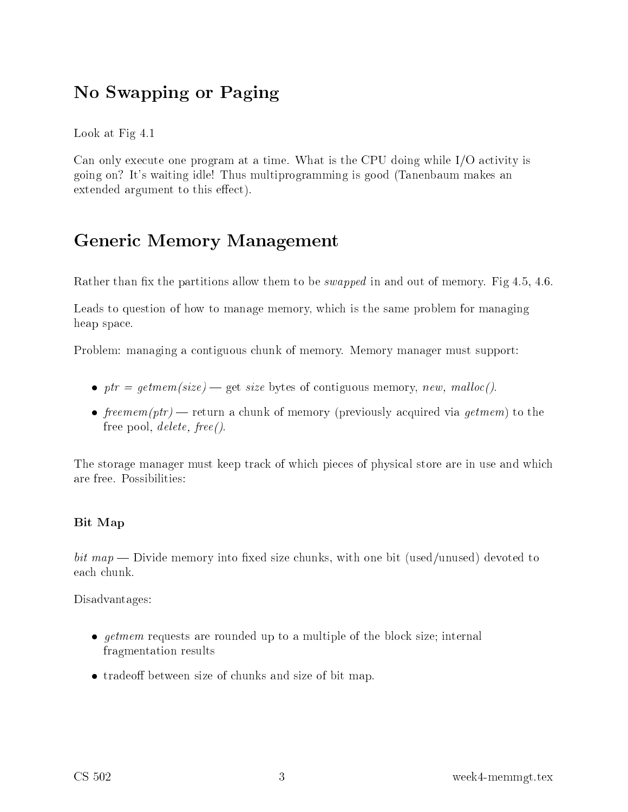# no Swapping or Paging or Paging or Paging or Paging or Paging or Paging or Paging or Paging or Paging or Paging or

Look at Fig 4.1

Can only execute one program at a time. What is the CPU doing while I/O activity is going on? It's waiting idle! Thus multiprogramming is good (Tanenbaum makes an extended argument to this effect).

# generis memory memory and a series of the contract of the contract of the contract of the contract of the contract of the contract of the contract of the contract of the contract of the contract of the contract of the cont

Rather than fix the partitions allow them to be *swapped* in and out of memory. Fig  $4.5, 4.6$ .

Leads to question of how to manage memory, which is the same problem for managing heap spa
e.

Problem: managing a contiguous chunk of memory. Memory manager must support:

- $ptr = getmem(size)$  get size bytes of contiguous memory, new, malloc().
- freemem(ptr) return a chunk of memory (previously acquired via getmem) to the free pool, delete, free().

The storage manager must keep track of which pieces of physical store are in use and which are free. Possibilities:

#### ————————

bit map | Divide memory into xed size hunks, with one bit (used/unused) devoted to each chunk.

Disadvantages:

- $\bullet$  getmem requests are rounded up to a multiple of the block size; internal fragmentation results
- tradeoff between size of chunks and size of bit map.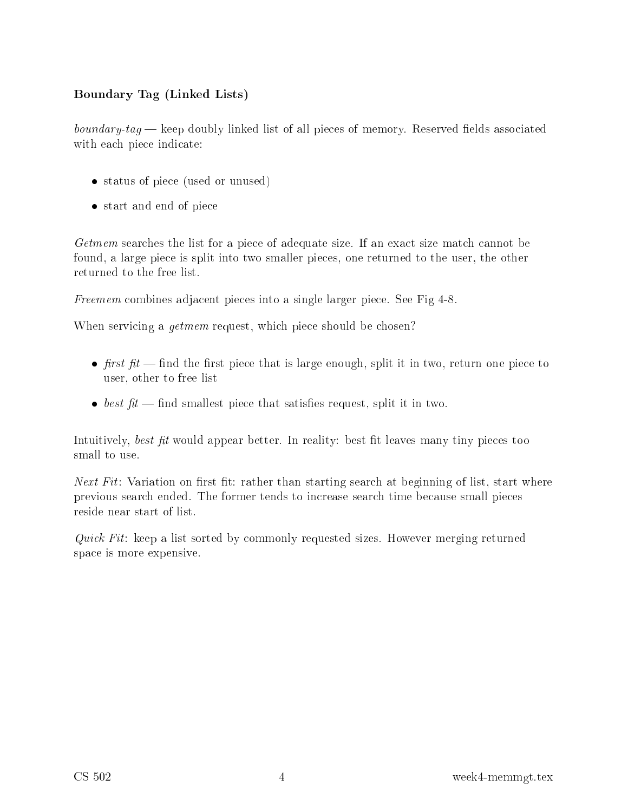### $\blacksquare$  Tags (  $\blacksquare$  ) and (  $\blacksquare$  ) and (  $\blacksquare$  ) and (  $\blacksquare$

boundary-tag | keep doubly linked list of all pie
es of memory. Reserved elds asso
iated with each piece indicate:

- status of piece (used or unused)
- start and end of pie
e

Getmem sear
hes the list for a pie
e of adequate size. If an exa
t size mat
h annot be found, a large pie
e is split into two smaller pie
es, one returned to the user, the other returned to the free list.

Freemem ombines adja
ent pie
es into a single larger pie
e. See Fig 4-8.

When servicing a *getmem* request, which piece should be chosen?

- rst the the the the theory piece is large the in two, return on the contract it is piece to the piece of user, other to free list
- best  $\hat{p}t$  find smallest piece that satisfies request, split it in two.

Intuitively, best fit would appear better. In reality: best fit leaves many tiny pieces too small to use.

 $N$  . The starting search on the starting search starting search starting search search search search search search search search search search search search search search search search search search search search search previous sear
h ended. The former tends to in
rease sear
h time be
ause small pie
es reside near start of list.

quies. However and the sorted sizes sorted sizes and the sizes of the size of the size  $\Delta$  -returned sizes. spa
e is more expensive.